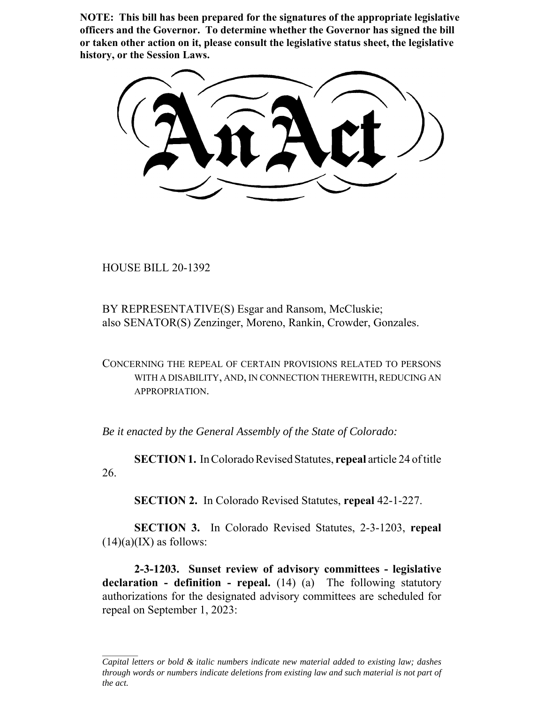**NOTE: This bill has been prepared for the signatures of the appropriate legislative officers and the Governor. To determine whether the Governor has signed the bill or taken other action on it, please consult the legislative status sheet, the legislative history, or the Session Laws.**

HOUSE BILL 20-1392

BY REPRESENTATIVE(S) Esgar and Ransom, McCluskie; also SENATOR(S) Zenzinger, Moreno, Rankin, Crowder, Gonzales.

CONCERNING THE REPEAL OF CERTAIN PROVISIONS RELATED TO PERSONS WITH A DISABILITY, AND, IN CONNECTION THEREWITH, REDUCING AN APPROPRIATION.

*Be it enacted by the General Assembly of the State of Colorado:*

**SECTION 1.** In Colorado Revised Statutes, **repeal** article 24 of title 26.

**SECTION 2.** In Colorado Revised Statutes, **repeal** 42-1-227.

**SECTION 3.** In Colorado Revised Statutes, 2-3-1203, **repeal**  $(14)(a)(IX)$  as follows:

**2-3-1203. Sunset review of advisory committees - legislative declaration - definition - repeal.** (14) (a) The following statutory authorizations for the designated advisory committees are scheduled for repeal on September 1, 2023:

*Capital letters or bold & italic numbers indicate new material added to existing law; dashes through words or numbers indicate deletions from existing law and such material is not part of the act.*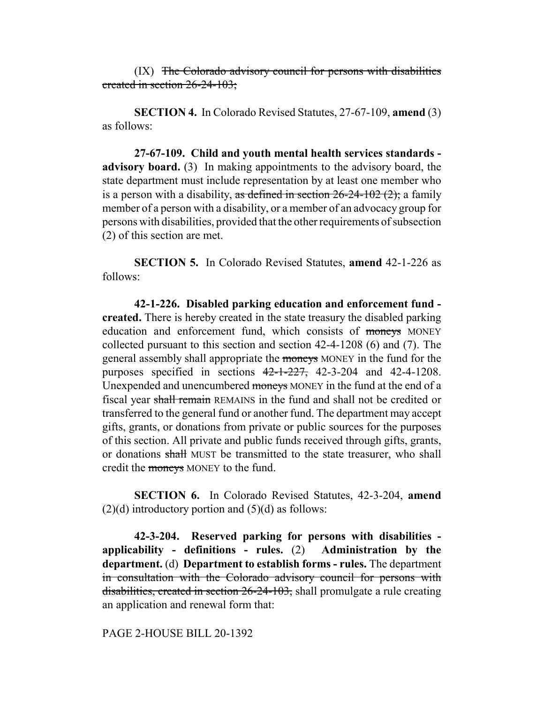(IX) The Colorado advisory council for persons with disabilities created in section 26-24-103;

**SECTION 4.** In Colorado Revised Statutes, 27-67-109, **amend** (3) as follows:

**27-67-109. Child and youth mental health services standards advisory board.** (3) In making appointments to the advisory board, the state department must include representation by at least one member who is a person with a disability, as defined in section  $26-24-102$  (2); a family member of a person with a disability, or a member of an advocacy group for persons with disabilities, provided that the other requirements of subsection (2) of this section are met.

**SECTION 5.** In Colorado Revised Statutes, **amend** 42-1-226 as follows:

**42-1-226. Disabled parking education and enforcement fund created.** There is hereby created in the state treasury the disabled parking education and enforcement fund, which consists of moneys MONEY collected pursuant to this section and section 42-4-1208 (6) and (7). The general assembly shall appropriate the moneys MONEY in the fund for the purposes specified in sections  $42-1-227$ ,  $42-3-204$  and  $42-4-1208$ . Unexpended and unencumbered moneys MONEY in the fund at the end of a fiscal year shall remain REMAINS in the fund and shall not be credited or transferred to the general fund or another fund. The department may accept gifts, grants, or donations from private or public sources for the purposes of this section. All private and public funds received through gifts, grants, or donations shall MUST be transmitted to the state treasurer, who shall credit the moneys MONEY to the fund.

**SECTION 6.** In Colorado Revised Statutes, 42-3-204, **amend**  $(2)(d)$  introductory portion and  $(5)(d)$  as follows:

**42-3-204. Reserved parking for persons with disabilities applicability - definitions - rules.** (2) **Administration by the department.** (d) **Department to establish forms - rules.** The department in consultation with the Colorado advisory council for persons with disabilities, created in section 26-24-103, shall promulgate a rule creating an application and renewal form that:

## PAGE 2-HOUSE BILL 20-1392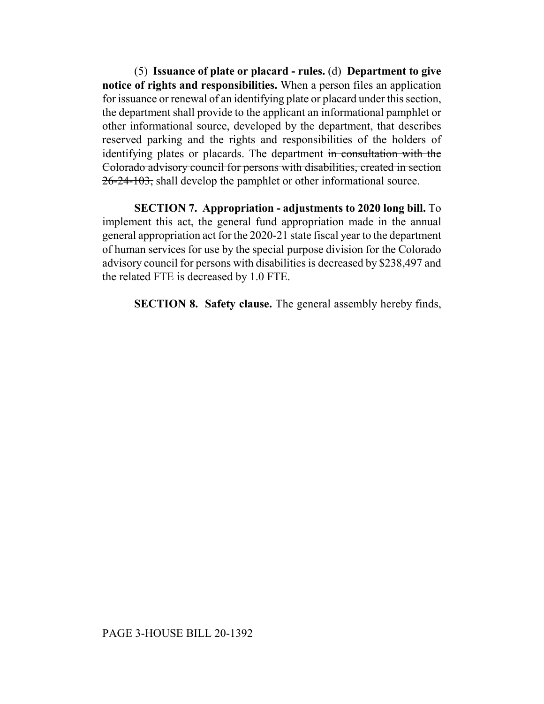(5) **Issuance of plate or placard - rules.** (d) **Department to give notice of rights and responsibilities.** When a person files an application for issuance or renewal of an identifying plate or placard under this section, the department shall provide to the applicant an informational pamphlet or other informational source, developed by the department, that describes reserved parking and the rights and responsibilities of the holders of identifying plates or placards. The department in consultation with the Colorado advisory council for persons with disabilities, created in section 26-24-103, shall develop the pamphlet or other informational source.

**SECTION 7. Appropriation - adjustments to 2020 long bill.** To implement this act, the general fund appropriation made in the annual general appropriation act for the 2020-21 state fiscal year to the department of human services for use by the special purpose division for the Colorado advisory council for persons with disabilities is decreased by \$238,497 and the related FTE is decreased by 1.0 FTE.

**SECTION 8. Safety clause.** The general assembly hereby finds,